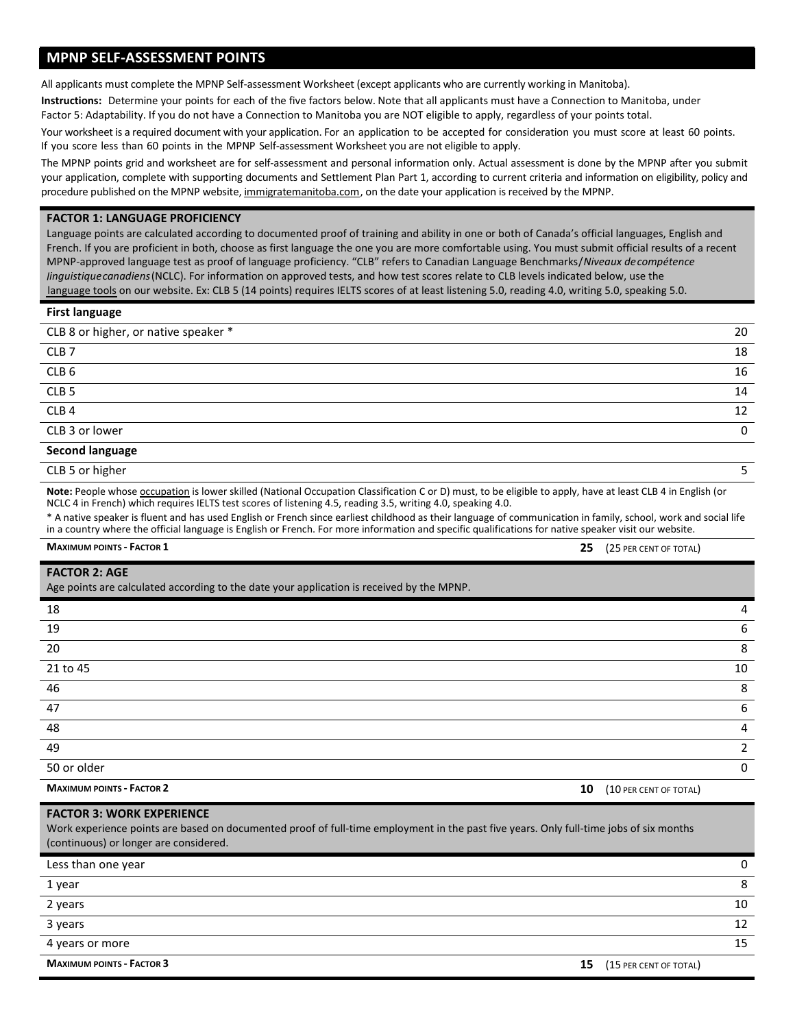# **MPNP SELF-ASSESSMENT POINTS**

All applicants must complete the MPNP Self-assessment Worksheet (except applicants who are currently working in Manitoba).

**Instructions:** Determine your points for each of the five factors below. Note that all applicants must have a Connection to Manitoba, under Factor 5: Adaptability. If you do not have a Connection to Manitoba you are NOT eligible to apply, regardless of your points total.

Your worksheet is a required document with your application. For an application to be accepted for consideration you must score at least 60 points. If you score less than 60 points in the MPNP Self-assessment Worksheet you are not eligible to apply.

The MPNP points grid and worksheet are for self-assessment and personal information only. Actual assessment is done by the MPNP after you submit your application, complete with supporting documents and Settlement Plan Part 1, according to current criteria and information on eligibility, policy and procedure published on the MPNP website, [immigratemanitoba.com,](http://immigratemanitoba.com) on the date your application is received by the MPNP.

### **FACTOR 1: LANGUAGE PROFICIENCY**

Language points are calculated according to documented proof of training and ability in one or both of Canada's official languages, English and French. If you are proficient in both, choose as first language the one you are more comfortable using. You must submit official results of a recent MPNP-approved language test as proof of language proficiency. "CLB" refers to Canadian Language Benchmarks/*Niveaux decompétence linguistiquecanadiens*(NCLC). For information on approved tests, and how test scores relate to CLB levels indicated below, use the [language tools](http://www.immigratemanitoba.com/how-to-immigrate/language/) on our website. Ex: CLB 5 (14 points) requires IELTS scores of at least listening 5.0, reading 4.0, writing 5.0, speaking 5.0.

### **First language**

| CLB 8 or higher, or native speaker * | 20 |
|--------------------------------------|----|
| CLB <sub>7</sub>                     | 18 |
| CLB <sub>6</sub>                     | 16 |
| CLB <sub>5</sub>                     | 14 |
| CLB <sub>4</sub>                     | 12 |
| CLB 3 or lower                       |    |
| <b>Second language</b>               |    |

CLB 5 or higher 5

**Note:** People whose [occupation](http://www.workingincanada.gc.ca/widgetC-eng.do?lang=eng&source=mb-immg&prelocation=Manitoba) is lower skilled (National Occupation Classification C or D) must, to be eligible to apply, have at least CLB 4 in English (or NCLC 4 in French) which requires IELTS test scores of listening 4.5, reading 3.5, writing 4.0, speaking 4.0.

\* A native speaker is fluent and has used English or French since earliest childhood as their language of communication in family, school, work and social life in a country where the official language is English or French. For more information and specific qualifications for native speaker visit our website.

**MAXIMUM POINTS - FACTOR 1 25** (25 PER CENT OF TOTAL)

| <b>FACTOR 2: AGE</b>                                                                      |                              |
|-------------------------------------------------------------------------------------------|------------------------------|
| Age points are calculated according to the date your application is received by the MPNP. |                              |
| 18                                                                                        | 4                            |
| 19                                                                                        | 6                            |
| 20                                                                                        | 8                            |
| 21 to 45                                                                                  | 10                           |
| 46                                                                                        | 8                            |
| 47                                                                                        | 6                            |
| 48                                                                                        | 4                            |
| 49                                                                                        | $\mathcal{P}$                |
| 50 or older                                                                               | 0                            |
| <b>MAXIMUM POINTS - FACTOR 2</b>                                                          | 10<br>(10 PER CENT OF TOTAL) |

| <b>FACTOR 3: WORK EXPERIENCE</b><br>Work experience points are based on documented proof of full-time employment in the past five years. Only full-time jobs of six months<br>(continuous) or longer are considered. |                              |
|----------------------------------------------------------------------------------------------------------------------------------------------------------------------------------------------------------------------|------------------------------|
| Less than one year                                                                                                                                                                                                   | 0                            |
| 1 year                                                                                                                                                                                                               | 8                            |
| 2 years                                                                                                                                                                                                              | 10                           |
| 3 years                                                                                                                                                                                                              | 12                           |
| 4 years or more                                                                                                                                                                                                      | 15                           |
| <b>MAXIMUM POINTS - FACTOR 3</b>                                                                                                                                                                                     | (15 PER CENT OF TOTAL)<br>15 |